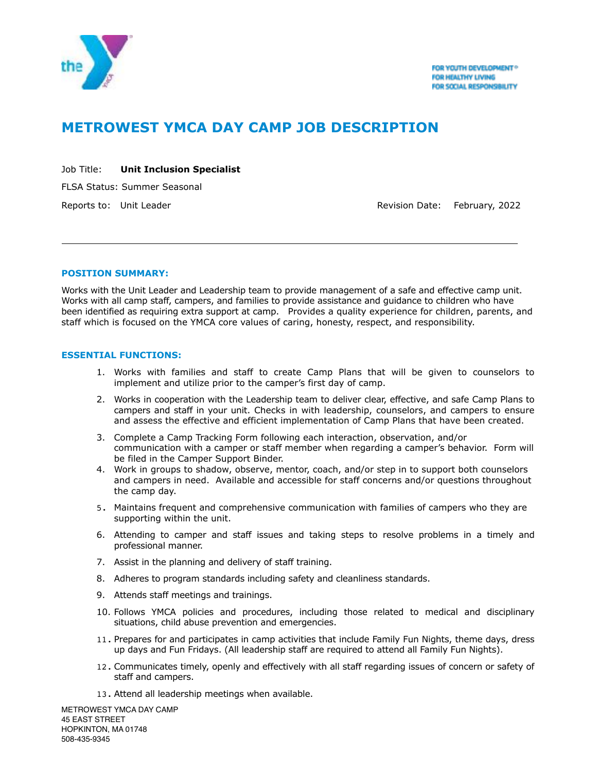

# **METROWEST YMCA DAY CAMP JOB DESCRIPTION**

| Job Title: |  | <b>Unit Inclusion Specialist</b> |
|------------|--|----------------------------------|
|            |  |                                  |

FLSA Status: Summer Seasonal

Reports to: Unit Leader **Revision Date: February, 2022** 

## **POSITION SUMMARY:**

 $\overline{a}$ 

Works with the Unit Leader and Leadership team to provide management of a safe and effective camp unit. Works with all camp staff, campers, and families to provide assistance and guidance to children who have been identified as requiring extra support at camp. Provides a quality experience for children, parents, and staff which is focused on the YMCA core values of caring, honesty, respect, and responsibility.

## **ESSENTIAL FUNCTIONS:**

- 1. Works with families and staff to create Camp Plans that will be given to counselors to implement and utilize prior to the camper's first day of camp.
- 2. Works in cooperation with the Leadership team to deliver clear, effective, and safe Camp Plans to campers and staff in your unit. Checks in with leadership, counselors, and campers to ensure and assess the effective and efficient implementation of Camp Plans that have been created.
- 3. Complete a Camp Tracking Form following each interaction, observation, and/or communication with a camper or staff member when regarding a camper's behavior. Form will be filed in the Camper Support Binder.
- 4. Work in groups to shadow, observe, mentor, coach, and/or step in to support both counselors and campers in need. Available and accessible for staff concerns and/or questions throughout the camp day.
- 5. Maintains frequent and comprehensive communication with families of campers who they are supporting within the unit.
- 6. Attending to camper and staff issues and taking steps to resolve problems in a timely and professional manner.
- 7. Assist in the planning and delivery of staff training.
- 8. Adheres to program standards including safety and cleanliness standards.
- 9. Attends staff meetings and trainings.
- 10. Follows YMCA policies and procedures, including those related to medical and disciplinary situations, child abuse prevention and emergencies.
- 11. Prepares for and participates in camp activities that include Family Fun Nights, theme days, dress up days and Fun Fridays. (All leadership staff are required to attend all Family Fun Nights).
- 12. Communicates timely, openly and effectively with all staff regarding issues of concern or safety of staff and campers.
- 13. Attend all leadership meetings when available.

METROWEST YMCA DAY CAMP 45 EAST STREET HOPKINTON, MA 01748 508-435-9345